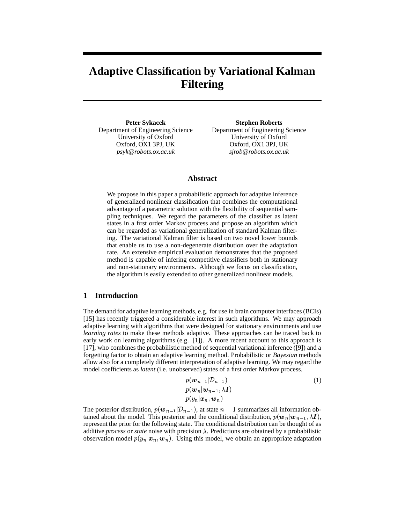# **Adaptive Classification by Variational Kalman Filtering**

**Peter Sykacek** Department of Engineering Science University of Oxford Oxford, OX1 3PJ, UK *psyk@robots.ox.ac.uk*

**Stephen Roberts** Department of Engineering Science University of Oxford Oxford, OX1 3PJ, UK *sjrob@robots.ox.ac.uk*

# **Abstract**

We propose in this paper a probabilistic approach for adaptive inference of generalized nonlinear classification that combines the computational advantage of a parametric solution with the flexibility of sequential sampling techniques. We regard the parameters of the classifier as latent states in a first order Markov process and propose an algorithm which can be regarded as variational generalization of standard Kalman filtering. The variational Kalman filter is based on two novel lower bounds that enable us to use a non-degenerate distribution over the adaptation rate. An extensive empirical evaluation demonstrates that the proposed method is capable of infering competitive classifiers both in stationary and non-stationary environments. Although we focus on classification, the algorithm is easily extended to other generalized nonlinear models.

# **1 Introduction**

The demand for adaptive learning methods, e.g. for use in brain computer interfaces (BCIs) [15] has recently triggered a considerable interest in such algorithms. We may approach adaptive learning with algorithms that were designed for stationary environments and use *learning rates* to make these methods adaptive. These approaches can be traced back to early work on learning algorithms (e.g.  $[1]$ ). A more recent account to this approach is [17], who combines the probabilistic method of sequential variational inference ([9]) and a forgetting factor to obtain an adaptive learning method. Probabilistic or *Bayesian* methods allow also for a completely different interpretation of adaptive learning. We may regard the model coefficients as *latent* (i.e. unobserved) states of a first order Markov process.

$$
p(\mathbf{w}_{n-1}|\mathcal{D}_{n-1})
$$
  
\n
$$
p(\mathbf{w}_n|\mathbf{w}_{n-1}, \lambda \mathbf{I})
$$
  
\n
$$
p(y_n|\mathbf{x}_n, \mathbf{w}_n)
$$
 (1)

The posterior distribution,  $p(\mathbf{w}_{n-1} | \mathcal{D}_{n-1})$ , at state  $n-1$  summarizes all information obtained about the model. This posterior and the conditional distribution,  $p(\mathbf{w}_n|\mathbf{w}_{n-1}, \lambda \mathbf{I})$ , represent the prior for the following state. The conditional distribution can be thought of as additive *process* or *state* noise with precision  $\lambda$ . Predictions are obtained by a probabilistic observation model  $p(y_n | x_n, w_n)$ . Using this model, we obtain an appropriate adaptation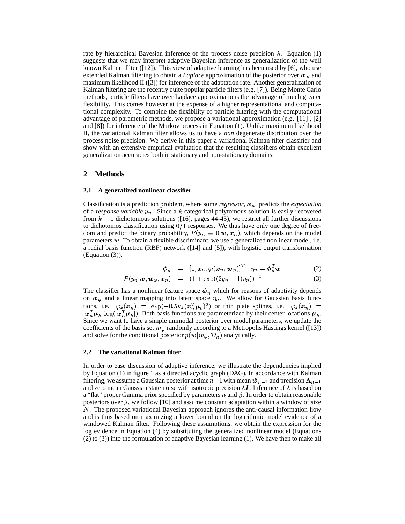rate by hierarchical Bayesian inference of the process noise precision  $\lambda$ . Equation (1) suggests that we may interpret adaptive Bayesian inference as generalization of the well known Kalman filter ([12]). This view of adaptive learning has been used by [6], who use extended Kalman filtering to obtain a *Laplace* approximation of the posterior over  $w_n$  and maximum likelihood II ([3]) for inference of the adaptation rate. Another generalization of Kalman filtering are the recently quite popular particle filters (e.g. [7]). Being Monte Carlo methods, particle filters have over Laplace approximations the advantage of much greater flexibility. This comes however at the expense of a higher representational and computational complexity. To combine the flexibility of particle filtering with the computational advantage of parametric methods, we propose a variational approximation (e.g. [11] , [2] and [8]) for inference of the Markov process in Equation (1). Unlike maximum likelihood II, the variational Kalman filter allows us to have a *non* degenerate distribution over the process noise precision. We derive in this paper a variational Kalman filter classifier and show with an extensive empirical evaluation that the resulting classifiers obtain excellent generalization accuracies both in stationary and non-stationary domains.

## **2 Methods**

#### **2.1 A generalized nonlinear classifier**

Classification is a prediction problem, where some *regressor*,  $x_n$ , predicts the *expectation* of a *response variable*  $y_n$ . Since a k categorical polytomous solution is easily recovered from  $k-1$  dichotomous solutions ([16], pages 44-45), we restrict all further discussions to dichotomos classification using  $0/1$  responses. We thus have only one degree of freedom and predict the binary probability,  $P(y_n \equiv 0 | \boldsymbol{w}, \boldsymbol{x}_n)$ , which depends on the model parameters  $w$ . To obtain a flexible discriminant, we use a generalized nonlinear model, i.e. a radial basis function (RBF) network ([14] and [5]), with logistic output transformation (Equation (3)).

$$
\phi_n = [1, x_n, \varphi(x_n; w_{\varphi})]^T, \eta_n = \phi_n^T w \tag{2}
$$

$$
P(y_n|\mathbf{w}, \mathbf{w}_{\varphi}, \mathbf{x}_n) = (1 + \exp((2y_n - 1)\eta_n))^{-1}
$$
(3)

The classifier has a nonlinear feature space  $\phi_n$  which for reasons of adaptivity depends on  $w_{\varphi}$  and a linear mapping into latent space  $\eta_n$ . We allow for Gaussian basis functions, i.e.  $\varphi_k(x_n) = \exp(-0.5\kappa_k(x_n^T\mu_k)^2)$  or thin plate splines, i.e.  $\varphi_k(x_n) =$  $|x_n^T \mu_k| \log(|x_n^T \mu_k|)$ . Both basis functions are parameterized by their center locations  $\mu_k$ . Since we want to have a simple unimodal posterior over model parameters, we update the coefficients of the basis set  $w_{\varphi}$  randomly according to a Metropolis Hastings kernel ([13]) and solve for the conditional posterior  $p(w|w_\varphi, \mathcal{D}_n)$  analytically.

#### **2.2 The variational Kalman filter**

In order to ease discussion of adaptive inference, we illustrate the dependencies implied by Equation (1) in figure 1 as a directed acyclic graph (DAG). In accordance with Kalman filtering, we assume a Gaussian posterior at time  $n-1$  with mean  $\hat{\mathbf{w}}_{n-1}$  and precision  $\mathbf{\Lambda}_{n-1}$ and zero mean Gaussian state noise with isotropic precision  $\lambda I$ . Inference of  $\lambda$  is based on a "flat" proper Gamma prior specified by parameters  $\alpha$  and  $\beta$ . In order to obtain reasonable posteriors over  $\lambda$ , we follow [10] and assume constant adaptation within a window of size N. The proposed variational Bayesian approach ignores the anti-causal information flow and is thus based on maximizing a lower bound on the logarithmic model evidence of a windowed Kalman filter. Following these assumptions, we obtain the expression for the log evidence in Equation (4) by substituting the generalized nonlinear model (Equations (2) to (3)) into the formulation of adaptive Bayesian learning (1). We have then to make all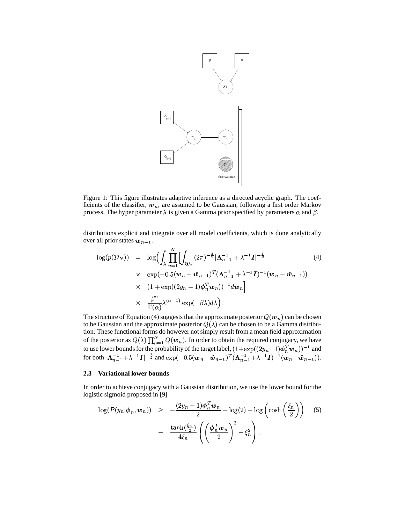

Figure 1: This figure illustrates adaptive inference as a directed acyclic graph. The coefficients of the classifier,  $w_n$ , are assumed to be Gaussian, following a first order Markov process. The hyper parameter  $\lambda$  is given a Gamma prior specified by parameters  $\alpha$  and  $\beta$ .

distributions explicit and integrate over all model coefficients, which is done analytically over all prior states  $w_{n-1}$ .

$$
\log(p(\mathcal{D}_N)) = \log \Bigl( \int_{\lambda} \prod_{n=1}^N \Bigl[ \int_{\boldsymbol{w}_n} (2\pi)^{-\frac{d}{2}} |\Lambda_{n-1}^{-1} + \lambda^{-1} \boldsymbol{I}|^{-\frac{1}{2}} \Bigl( 4 \Bigr)
$$
  
 
$$
\times \exp(-0.5(\boldsymbol{w}_n - \hat{\boldsymbol{w}}_{n-1})^T (\Lambda_{n-1}^{-1} + \lambda^{-1} \boldsymbol{I})^{-1} (\boldsymbol{w}_n - \hat{\boldsymbol{w}}_{n-1}))
$$
  
 
$$
\times (1 + \exp((2y_n - 1)\boldsymbol{\phi}_n^T \boldsymbol{w}_n))^{-1} d\boldsymbol{w}_n \Bigr]
$$
  
 
$$
\times \frac{\beta^{\alpha}}{\Gamma(\alpha)} \lambda^{(\alpha - 1)} \exp(-\beta \lambda) d\lambda \Bigr).
$$
 (4)

The structure of Equation (4) suggests that the approximate posterior  $Q(w_n)$  can be chosen to be Gaussian and the approximate posterior  $Q(\lambda)$  can be chosen to be a Gamma distribution. These functional forms do however not simply result from a mean field approximation of the posterior as  $Q(\lambda) \prod_{n=1}^{N} Q(\boldsymbol{w}_n)$ . In order to obtain the required conjugacy, we have to use lower bounds for the probability of the target label,  $(1+\exp((2y_n-1)\boldsymbol{\phi}_n^T\boldsymbol{w}_n))^{-1}$  and for both  $|\mathbf{\Lambda}_{n-1}^{-1} + \lambda^{-1} \mathbf{I}|^{-\frac{1}{2}}$  and  $\exp(-0.5(\mathbf{w}_n - \hat{\mathbf{w}}_{n-1})^T (\mathbf{\Lambda}_{n-1}^{-1} + \lambda^{-1} \mathbf{I})^{-1} (\mathbf{w}_n - \hat{\mathbf{w}}_{n-1})).$ 

#### **2.3 Variational lower bounds**

In order to achieve conjugacy with a Gaussian distribution, we use the lower bound for the logistic sigmoid proposed in [9]

$$
\log(P(y_n|\phi_n, \boldsymbol{w}_n)) \geq -\frac{(2y_n - 1)\phi_n^T \boldsymbol{w}_n}{2} - \log(2) - \log\left(\cosh\left(\frac{\xi_n}{2}\right)\right) \quad (5)
$$

$$
- \frac{\tanh(\frac{\xi_n}{2})}{4\xi_n} \left(\left(\frac{\phi_n^T \boldsymbol{w}_n}{2}\right)^2 - \xi_n^2\right),
$$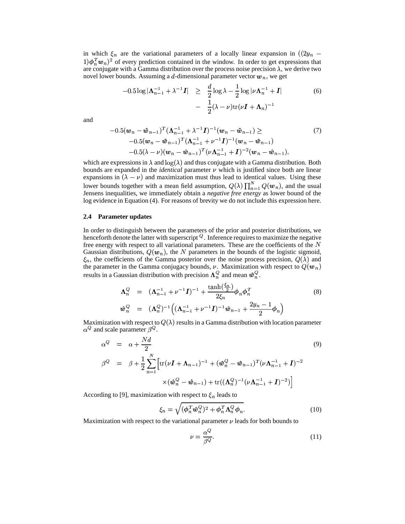in which  $\xi_n$  are the variational parameters of a locally linear expansion in  $((2y_n (1)\phi_n^T w_n^2$  of every prediction contained in the window. In order to get expressions that are conjugate with a Gamma distribution over the process noise precision  $\lambda$ , we derive two novel lower bounds. Assuming a d-dimensional parameter vector  $w_n$ , we get

$$
-0.5\log|\Lambda_{n-1}^{-1}+\lambda^{-1}I| \geq \frac{d}{2}\log\lambda-\frac{1}{2}\log|\nu\Lambda_{n}^{-1}+I|
$$
\n
$$
-\frac{1}{2}(\lambda-\nu)\text{tr}(\nu I+\Lambda_{n})^{-1}
$$
\n(6)

and

$$
-0.5(\boldsymbol{w}_{n} - \hat{\boldsymbol{w}}_{n-1})^{T}(\boldsymbol{\Lambda}_{n-1}^{-1} + \lambda^{-1}\boldsymbol{I})^{-1}(\boldsymbol{w}_{n} - \hat{\boldsymbol{w}}_{n-1}) \geq (7)
$$
  
-0.5(\boldsymbol{w}\_{n} - \hat{\boldsymbol{w}}\_{n-1})^{T}(\boldsymbol{\Lambda}\_{n-1}^{-1} + \nu^{-1}\boldsymbol{I})^{-1}(\boldsymbol{w}\_{n} - \hat{\boldsymbol{w}}\_{n-1})  
-0.5(\lambda - \nu)(\boldsymbol{w}\_{n} - \hat{\boldsymbol{w}}\_{n-1})^{T}(\nu \boldsymbol{\Lambda}\_{n-1}^{-1} + \boldsymbol{I})^{-2}(\boldsymbol{w}\_{n} - \hat{\boldsymbol{w}}\_{n-1}),

which are expressions in  $\lambda$  and  $\log(\lambda)$  and thus conjugate with a Gamma distribution. Both bounds are expanded in the *identical* parameter  $\nu$  which is justified since both are linear expansions in  $(\lambda - \nu)$  and maximization must thus lead to identical values. Using these lower bounds together with a mean field assumption,  $Q(\lambda) \prod_{n=1}^{N} Q(\boldsymbol{w}_n)$ , and the usual Jensens inequalities, we immediately obtain a *negative free energy* as lower bound of the log evidence in Equation (4). For reasons of brevity we do not include this expression here.

#### **2.4 Parameter updates**

In order to distinguish between the parameters of the prior and posterior distributions, we henceforth denote the latter with superscript  $^{Q}$ . Inference requires to maximize the negative free energy with respect to all variational parameters. These are the coefficients of the  $N$ Gaussian distributions,  $Q(w_n)$ , the N parameters in the bounds of the logistic sigmoid, the parameter in the Gamma conjugacy bounds,  $\nu$ . Maximization with respect to  $Q(\boldsymbol{w}_n)$ <sub>n</sub>, the coefficients of the Gamma posterior over the noise process precision,  $Q(\lambda)$  and results in a Gaussian distribution with precision  $\Lambda_n^Q$  and mean  $\hat{w}_n^Q$ .

$$
\Lambda_n^Q = (\Lambda_{n-1}^{-1} + \nu^{-1} \mathbf{I})^{-1} + \frac{\tanh(\frac{\xi_n}{2})}{2\xi_n} \phi_n \phi_n^T
$$
\n
$$
\hat{w}_n^Q = (\Lambda_n^Q)^{-1} \Big( (\Lambda_{n-1}^{-1} + \nu^{-1} \mathbf{I})^{-1} \hat{w}_{n-1} + \frac{2y_n - 1}{2} \phi_n \Big)
$$
\n(8)

Maximization with respect to  $Q(\lambda)$  results in a Gamma distribution with location parameter . . . . . . . . .  $^Q$  and scale parameter  $\beta^Q$ .

$$
\alpha^{Q} = \alpha + \frac{Nd}{2}
$$
\n
$$
\beta^{Q} = \beta + \frac{1}{2} \sum_{n=1}^{N} \left[ \text{tr}(\nu \mathbf{I} + \mathbf{\Lambda}_{n-1})^{-1} + (\hat{\mathbf{w}}_{n}^{Q} - \hat{\mathbf{w}}_{n-1})^{T} (\nu \mathbf{\Lambda}_{n-1}^{-1} + \mathbf{I})^{-2} \right]
$$
\n
$$
\times (\hat{\mathbf{w}}_{n}^{Q} - \hat{\mathbf{w}}_{n-1}) + \text{tr}((\mathbf{\Lambda}_{n}^{Q})^{-1} (\nu \mathbf{\Lambda}_{n-1}^{-1} + \mathbf{I})^{-2}) \right]
$$
\n(9)

According to [9], maximization with respect to  $\xi_n$  leads to

9

$$
\xi_n = \sqrt{(\boldsymbol{\phi}_n^T \hat{\boldsymbol{w}}_n^Q)^2 + \boldsymbol{\phi}_n^T \boldsymbol{\Lambda}_n^Q \boldsymbol{\phi}_n}.
$$
\n(10)

Maximization with respect to the variational parameter  $\nu$  leads for both bounds to

$$
\nu = \frac{\alpha^Q}{\beta^Q}.\tag{11}
$$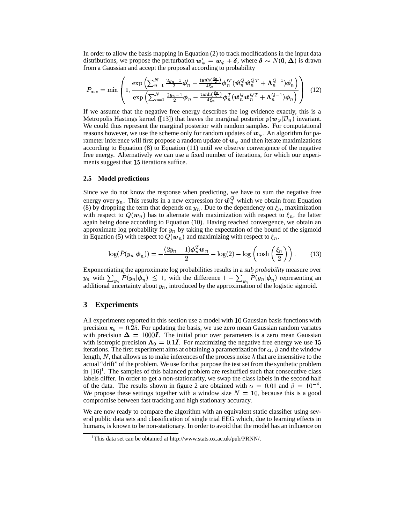In order to allow the basis mapping in Equation (2) to track modifications in the input data distributions, we propose the perturbation  $w'_\varphi = w_\varphi + \delta$ , where  $\delta \sim N(0, \Delta)$  is drawn from a Gaussian and accept the proposal according to probability

$$
P_{acc} = \min \left( 1, \frac{\exp \left( \sum_{n=1}^{N} \frac{2y_n - 1}{2} \phi_n' - \frac{\tanh(\frac{\xi_n}{2})}{4\xi_n} \phi_n'^T (\hat{\boldsymbol{w}}_n^Q \hat{\boldsymbol{w}}_n^{QT} + \boldsymbol{\Lambda}_n^{Q-1}) \phi_n' \right)}{\exp \left( \sum_{n=1}^{N} \frac{2y_n - 1}{2} \phi_n - \frac{\tanh(\frac{\xi_n}{2})}{4\xi_n} \phi_n^T (\hat{\boldsymbol{w}}_n^Q \hat{\boldsymbol{w}}_n^{QT} + \boldsymbol{\Lambda}_n^{Q-1}) \phi_n \right)} \right) \tag{12}
$$

If we assume that the negative free energy describes the log evidence exactly, this is a Metropolis Hastings kernel ([13]) that leaves the marginal posterior  $p(\mathbf{w}_{\varphi}|\mathcal{D}_n)$  invariant. We could thus represent the marginal posterior with random samples. For computational reasons however, we use the scheme only for random updates of  $w_{\varphi}$ . An algorithm for parameter inference will first propose a random update of  $w_{\varphi}$  and then iterate maximizations according to Equation (8) to Equation (11) until we observe convergence of the negative free energy. Alternatively we can use a fixed number of iterations, for which our experiments suggest that 15 iterations suffice.

#### **2.5 Model predictions**

Since we do not know the response when predicting, we have to sum the negative free energy over  $y_n$ . This results in a new expression for  $\hat{w}_n^Q$  which we obtain from Equation (8) by dropping the term that depends on  $y_n$ . Due to the dependency on  $\xi_n$ , maximization with respect to  $Q(w_n)$  has to alternate with maximization with respect to  $\xi_n$ , the latter again being done according to Equation (10). Having reached convergence, we obtain an approximate log probability for  $y_n$  by taking the expectation of the bound of the sigmoid in Equation (5) with respect to  $Q(w_n)$  and maximizing with respect to  $\xi_n$ .

$$
\log(\tilde{P}(y_n|\phi_n)) = -\frac{(2y_n - 1)\phi_n^T w_n}{2} - \log(2) - \log\left(\cosh\left(\frac{\xi_n}{2}\right)\right). \tag{13}
$$

Exponentiating the approximate log probabilities results in a *sub probability* measure over  $y_n$  with  $\sum_{y_n} \tilde{P}(y_n|\phi_n) \leq 1$ , with the difference  $1 - \sum_{y_n} \tilde{P}(y_n|\phi_n)$  representing an additional uncertainty about  $y_n$ , introduced by the approximation of the logistic sigmoid.

# **3 Experiments**

All experiments reported in this section use a model with 10 Gaussian basis functions with precision  $\kappa_k = 0.25$ . For updating the basis, we use zero mean Gaussian random variates with precision  $\Delta = 1000I$ . The initial prior over parameters is a zero mean Gaussian with isotropic precision  $\Lambda_0 = 0.1I$ . For maximizing the negative free energy we use 15 iterations. The first experiment aims at obtaining a parametrization for  $\alpha$ ,  $\beta$  and the window length, N, that allows us to make inferences of the process noise  $\lambda$  that are insensitive to the actual "drift" of the problem. We use for that purpose the test set from the synthetic problem in  $[16]$ <sup>1</sup>. The samples of this balanced problem are reshuffled such that consecutive class labels differ. In order to get a non-stationarity, we swap the class labels in the second half of the data. The results shown in figure 2 are obtained with  $\alpha = 0.01$  and  $\beta = 10^{-4}$ . We propose these settings together with a window size  $N = 10$ , because this is a good compromise between fast tracking and high stationary accuracy.

We are now ready to compare the algorithm with an equivalent static classifier using several public data sets and classification of single trial EEG which, due to learning effects in humans, is known to be non-stationary. In order to avoid that the model has an influence on

<sup>1</sup>This data set can be obtained at http://www.stats.ox.ac.uk/pub/PRNN/.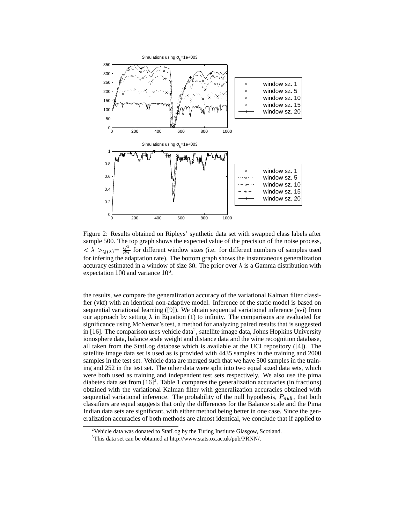

Figure 2: Results obtained on Ripleys' synthetic data set with swapped class labels after sample 500. The top graph shows the expected value of the precision of the noise process, sample 500. The top graph s<br>  $\langle \lambda \rangle_{O(\lambda)} = \frac{\alpha^Q}{\beta Q}$  for different  $\frac{\alpha^Q}{\beta Q}$  for different window sizes (i.e. for different numbers of samples used for infering the adaptation rate). The bottom graph shows the instantaneous generalization accuracy estimated in a window of size 30. The prior over  $\lambda$  is a Gamma distribution with expectation  $100$  and variance  $10<sup>6</sup>$ .

the results, we compare the generalization accuracy of the variational Kalman filter classifier (vkf) with an identical non-adaptive model. Inference of the static model is based on sequential variational learning ([9]). We obtain sequential variational inference (svi) from our approach by setting  $\lambda$  in Equation (1) to infinity. The comparisons are evaluated for significance using McNemar's test, a method for analyzing paired results that is suggested in [16]. The comparison uses vehicle data<sup>2</sup>, satellite image data, Johns Hopkins University ionosphere data, balance scale weight and distance data and the wine recognition database, all taken from the StatLog database which is available at the UCI repository ([4]). The satellite image data set is used as is provided with 4435 samples in the training and 2000 samples in the test set. Vehicle data are merged such that we have 500 samples in the training and 252 in the test set. The other data were split into two equal sized data sets, which were both used as training and independent test sets respectively. We also use the pima diabetes data set from  $[16]^3$ . Table 1 compares the generalization accuracies (in fractions) obtained with the variational Kalman filter with generalization accuracies obtained with sequential variational inference. The probability of the null hypothesis,  $P_{null}$ , that both classifiers are equal suggests that only the differences for the Balance scale and the Pima Indian data sets are significant, with either method being better in one case. Since the generalization accuracies of both methods are almost identical, we conclude that if applied to

<sup>&</sup>lt;sup>2</sup>Vehicle data was donated to StatLog by the Turing Institute Glasgow, Scotland.

 $3$ This data set can be obtained at http://www.stats.ox.ac.uk/pub/PRNN/.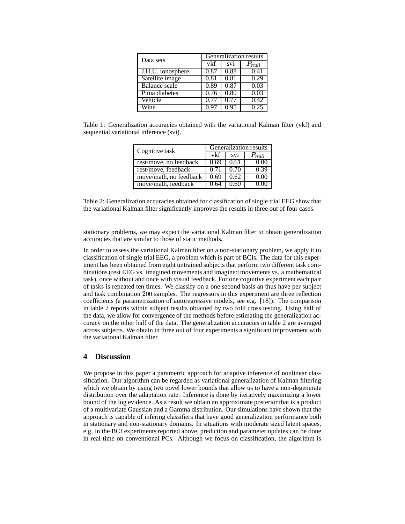| Data sets            | Generalization results |                 |         |
|----------------------|------------------------|-----------------|---------|
|                      | vkf                    | SV <sub>1</sub> | $n$ ull |
| J.H.U. ionosphere    | 0.87                   | 0.88            | 0.41    |
| Satellite image      | 0.81                   | 0.81            | 0.29    |
| <b>Balance</b> scale | 0.89                   | 0.87            | 0.03    |
| Pima diabetes        | 0.76                   | 0.80            | 0.03    |
| Vehicle              |                        |                 | 0.42    |
| /ine.                |                        |                 |         |

Table 1: Generalization accuracies obtained with the variational Kalman filter (vkf) and sequential variational inference (svi).

| Cognitive task         | Generalization results |                 |       |
|------------------------|------------------------|-----------------|-------|
|                        | vkf                    | SV <sub>1</sub> | null  |
| rest/move, no feedback | 0.69                   | 0.61            | ) በ(  |
| rest/move, feedback    | 071                    | (170)           | () 39 |
| move/math, no feedback |                        | 0.62            |       |
| move/math, feedback    |                        |                 |       |

Table 2: Generalization accuracies obtained for classification of single trial EEG show that the variational Kalman filter significantly improves the results in three out of four cases.

stationary problems, we may expect the variational Kalman filter to obtain generalization accuracies that are similar to those of static methods.

In order to assess the variational Kalman filter on a non-stationary problem, we apply it to classification of single trial EEG, a problem which is part of BCIs. The data for this experiment has been obtained from eight untrained subjects that perform two different task combinations (rest EEG vs. imagined movements and imagined movements vs. a mathematical task), once without and once with visual feedback. For one cognitive experiment each pair of tasks is repeated ten times. We classify on a one second basis an thus have per subject and task combination 200 samples. The regressors in this experiment are three reflection coefficients (a parametrization of autoregressive models, see e.g. [18]). The comparison in table 2 reports within subject results obtained by two fold cross testing. Using half of the data, we allow for convergence of the methods before estimating the generalization accuracy on the other half of the data. The generalization accuracies in table 2 are averaged across subjects. We obtain in three out of four experiments a significant improvement with the variational Kalman filter.

# **4 Discussion**

We propose in this paper a parametric approach for adaptive inference of nonlinear classification. Our algorithm can be regarded as variational generalization of Kalman filtering which we obtain by using two novel lower bounds that allow us to have a non-degenerate distribution over the adaptation rate. Inference is done by iteratively maximizing a lower bound of the log evidence. As a result we obtain an approximate posterior that is a product of a multivariate Gaussian and a Gamma distribution. Our simulations have shown that the approach is capable of infering classifiers that have good generalization performance both in stationary and non-stationary domains. In situations with moderate sized latent spaces, e.g. in the BCI experiments reported above, prediction and parameter updates can be done in real time on conventional PCs. Although we focus on classification, the algorithm is